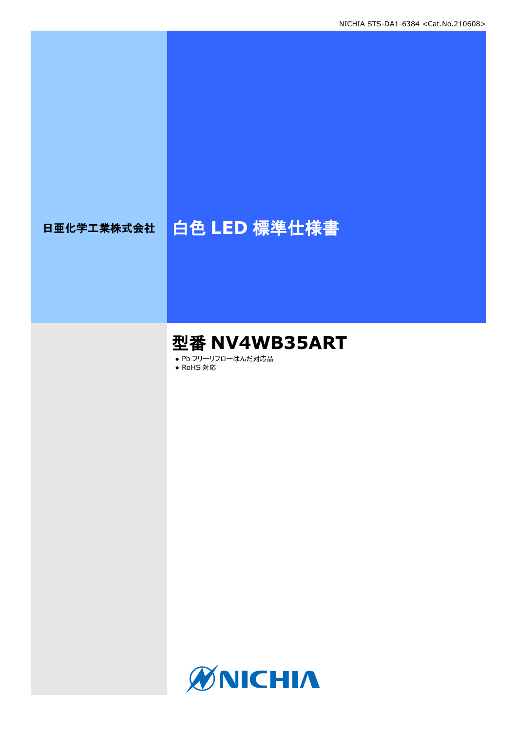# 日亜化学工業株式会社 | 白色 LED 標準仕様書

# 型番 **NV4WB35ART**

● Pb フリーリフローはんだ対応品

● RoHS 対応

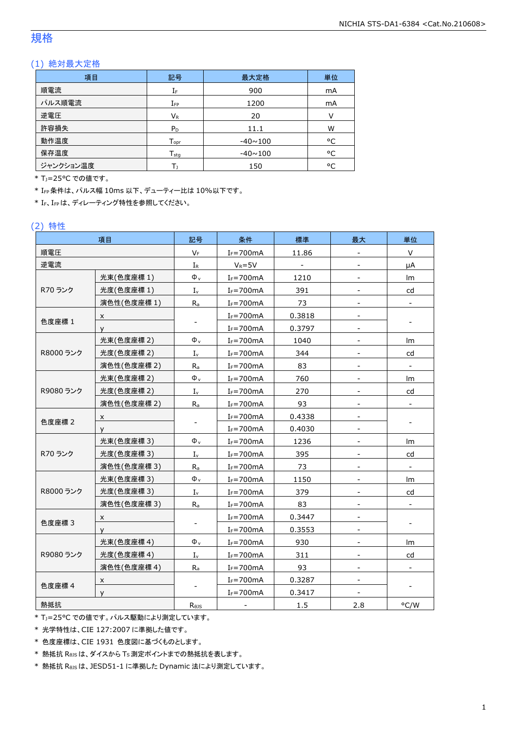## 規格

### (1) 絶対最大定格

| 項目        | 記号                           | 最大定格           | 単位 |
|-----------|------------------------------|----------------|----|
| 順電流       | IF                           | 900            | mA |
| パルス順電流    | ${\rm I}_{\rm FP}$           | 1200           | mA |
| 逆電圧       | $V_{R}$                      | 20             |    |
| 許容損失      | $P_D$                        | 11.1           | W  |
| 動作温度      | ${\mathsf T}_{\textsf{opr}}$ | $-40 \sim 100$ | °C |
| 保存温度      | $T_{\rm stq}$                | $-40 \sim 100$ | °C |
| ジャンクション温度 |                              | 150            | °C |

\* T<sub>1</sub>=25°C での値です。

\* IFP条件は、パルス幅 10ms 以下、デューティー比は 10%以下です。

\* IF、IFPは、ディレーティング特性を参照してください。

### (2) 特性

|                  | 項目          | 記号                        | 条件             | 標準      | 最大                       | 単位                           |
|------------------|-------------|---------------------------|----------------|---------|--------------------------|------------------------------|
| 順電圧              |             | $V_F$                     | $I_F = 700mA$  | 11.86   |                          | V                            |
| 逆電流              |             | $I_R$                     | $V_R = 5V$     |         |                          | μA                           |
|                  | 光束(色度座標 1)  | $\Phi$ <sub>v</sub>       | $I_F = 700$ mA | 1210    |                          | Im                           |
| R70 ランク          | 光度(色度座標 1)  | $I_{v}$                   | $I_F = 700mA$  | 391     |                          | cd                           |
|                  | 演色性(色度座標 1) | $R_a$                     | $I_F = 700$ mA | 73      | $\overline{\phantom{a}}$ | $\overline{\phantom{a}}$     |
|                  | X           |                           | $I_F = 700mA$  | 0.3818  |                          |                              |
| 色度座標 1           | У           |                           | $I_F = 700$ mA | 0.3797  | $\overline{\phantom{a}}$ |                              |
|                  | 光束(色度座標 2)  | $\Phi_{v}$                | $I_F = 700mA$  | 1040    |                          | Im                           |
| R8000 ランク        | 光度(色度座標 2)  | $I_{\rm v}$               | $I_F = 700mA$  | 344     | $\overline{\phantom{a}}$ | cd                           |
|                  | 演色性(色度座標 2) | $R_{a}$                   | $I_F = 700$ mA | 83      | $\overline{\phantom{a}}$ | $\overline{\phantom{a}}$     |
|                  | 光束(色度座標 2)  | $\Phi_v$                  | $I_F = 700mA$  | 760     |                          | Im                           |
| R9080 ランク        | 光度(色度座標 2)  | $I_{v}$                   | $I_F = 700mA$  | 270     | $\blacksquare$           | cd                           |
|                  | 演色性(色度座標 2) | $R_{a}$                   | $I_F = 700mA$  | 93      | $\blacksquare$           |                              |
| X<br>色度座標 2<br>У |             |                           | $I_F = 700mA$  | 0.4338  | $\overline{\phantom{a}}$ |                              |
|                  |             |                           | $I_F = 700mA$  | 0.4030  |                          |                              |
|                  | 光束(色度座標 3)  | $\Phi_v$                  | $I_F = 700mA$  | 1236    | $\blacksquare$           | lm                           |
| R70 ランク          | 光度(色度座標 3)  | $I_{\nu}$                 | $I_F = 700mA$  | 395     |                          | cd                           |
|                  | 演色性(色度座標 3) | $R_{a}$                   | $I_F = 700mA$  | 73      | $\blacksquare$           | $\qquad \qquad \blacksquare$ |
|                  | 光束(色度座標 3)  | $\Phi_{\rm v}$            | $I_F = 700mA$  | 1150    |                          | lm                           |
| R8000 ランク        | 光度(色度座標 3)  | $\mathbf{I}_{\mathsf{v}}$ | $I_F = 700mA$  | 379     | $\blacksquare$           | cd                           |
|                  | 演色性(色度座標 3) | $R_a$                     | $I_F = 700mA$  | 83      |                          |                              |
|                  | X           |                           | $I_F = 700mA$  | 0.3447  |                          |                              |
| 色度座標 3           | У           | $\overline{\phantom{a}}$  | $I_F = 700mA$  | 0.3553  |                          |                              |
|                  | 光束(色度座標4)   | $\Phi_v$                  | $I_F = 700mA$  | 930     |                          | lm                           |
| R9080 ランク        | 光度(色度座標4)   | $\mathbf{I}_{\mathsf{v}}$ | $I_F = 700mA$  | 311     |                          | cd                           |
|                  | 演色性(色度座標4)  | $R_a$                     | $I_F = 700mA$  | 93      | $\blacksquare$           | $\overline{\phantom{0}}$     |
|                  | x           |                           | $I_F = 700mA$  | 0.3287  |                          |                              |
| 色度座標 4           | y           |                           | $I_F = 700mA$  | 0.3417  |                          |                              |
| 熱抵抗              |             | $R_{\theta}$              |                | $1.5\,$ | 2.8                      | °C/W                         |

\* TJ=25°C での値です。パルス駆動により測定しています。

\* 光学特性は、CIE 127:2007 に準拠した値です。

\* 色度座標は、CIE 1931 色度図に基づくものとします。

\* 熱抵抗 RθJSは、ダイスから TS測定ポイントまでの熱抵抗を表します。

\* 熱抵抗 RθJSは、JESD51-1 に準拠した Dynamic 法により測定しています。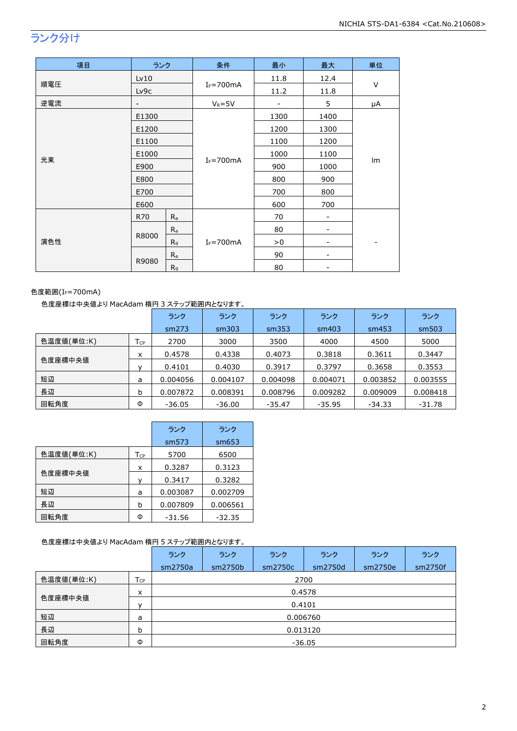## ランク分け

| 項目  | ランク                      |                           | 条件            | 最小   | 最大   | 単位     |  |
|-----|--------------------------|---------------------------|---------------|------|------|--------|--|
|     | Lv10                     |                           |               | 11.8 | 12.4 |        |  |
| 順電圧 | Lv9c                     |                           | $I_F = 700mA$ | 11.2 | 11.8 | $\vee$ |  |
| 逆電流 | $\overline{\phantom{0}}$ |                           | $V_R = 5V$    | -    | 5    | μA     |  |
|     | E1300                    |                           |               | 1300 | 1400 |        |  |
|     | E1200                    |                           |               | 1200 | 1300 |        |  |
|     | E1100                    |                           |               | 1100 | 1200 |        |  |
|     | E1000                    |                           | $I_F = 700mA$ | 1000 | 1100 | Im     |  |
| 光束  | E900                     |                           |               | 900  | 1000 |        |  |
|     | E800                     |                           |               | 800  | 900  |        |  |
|     | E700                     |                           |               | 700  | 800  |        |  |
|     | E600                     |                           |               | 600  | 700  |        |  |
|     | R70                      | $R_{a}$                   |               | 70   | -    |        |  |
| 演色性 |                          | $R_{a}$                   |               | 80   |      |        |  |
|     | R8000                    | R <sub>9</sub>            | $I_F = 700mA$ | > 0  | -    |        |  |
|     |                          | $\mathsf{R}_{\mathsf{a}}$ |               | 90   | -    |        |  |
|     | R9080                    | R <sub>9</sub>            |               | 80   |      |        |  |

### 色度範囲(I<sub>F</sub>=700mA)

### 色度座標は中央値より MacAdam 楕円 3 ステップ範囲内となります。

|            |     | ランク      | ランク      | ランク      | ランク      | ランク      | ランク      |
|------------|-----|----------|----------|----------|----------|----------|----------|
|            |     | sm273    | sm303    | sm353    | sm403    | sm453    | sm503    |
| 色温度値(単位:K) | Tср | 2700     | 3000     | 3500     | 4000     | 4500     | 5000     |
|            | x   | 0.4578   | 0.4338   | 0.4073   | 0.3818   | 0.3611   | 0.3447   |
| 色度座標中央値    |     | 0.4101   | 0.4030   | 0.3917   | 0.3797   | 0.3658   | 0.3553   |
| 短辺         | a   | 0.004056 | 0.004107 | 0.004098 | 0.004071 | 0.003852 | 0.003555 |
| 長辺         | b   | 0.007872 | 0.008391 | 0.008796 | 0.009282 | 0.009009 | 0.008418 |
| 回転角度       | Φ   | $-36.05$ | $-36.00$ | $-35.47$ | $-35.95$ | $-34.33$ | $-31.78$ |

|            |     | ランク      | ランク      |
|------------|-----|----------|----------|
|            |     | sm573    | sm653    |
| 色温度値(単位:K) | Тcp | 5700     | 6500     |
|            | x   | 0.3287   | 0.3123   |
| 色度座標中央値    |     | 0.3417   | 0.3282   |
| 短辺         | a   | 0.003087 | 0.002709 |
| 長辺         | b   | 0.007809 | 0.006561 |
| 回転角度       | Φ   | $-31.56$ | $-32.35$ |

### 色度座標は中央値より MacAdam 楕円 5 ステップ範囲内となります。

|            |                 | ランク      | ランク      | ランク     | ランク     | ランク     | ランク     |  |  |  |
|------------|-----------------|----------|----------|---------|---------|---------|---------|--|--|--|
|            |                 | sm2750a  | sm2750b  | sm2750c | sm2750d | sm2750e | sm2750f |  |  |  |
| 色温度値(単位:K) | $T_{\text{CP}}$ | 2700     |          |         |         |         |         |  |  |  |
|            | X               | 0.4578   |          |         |         |         |         |  |  |  |
| 色度座標中央値    | $\mathsf{v}$    | 0.4101   |          |         |         |         |         |  |  |  |
| 短辺         | a               |          | 0.006760 |         |         |         |         |  |  |  |
| 長辺         | b               | 0.013120 |          |         |         |         |         |  |  |  |
| 回転角度       | Φ               | $-36.05$ |          |         |         |         |         |  |  |  |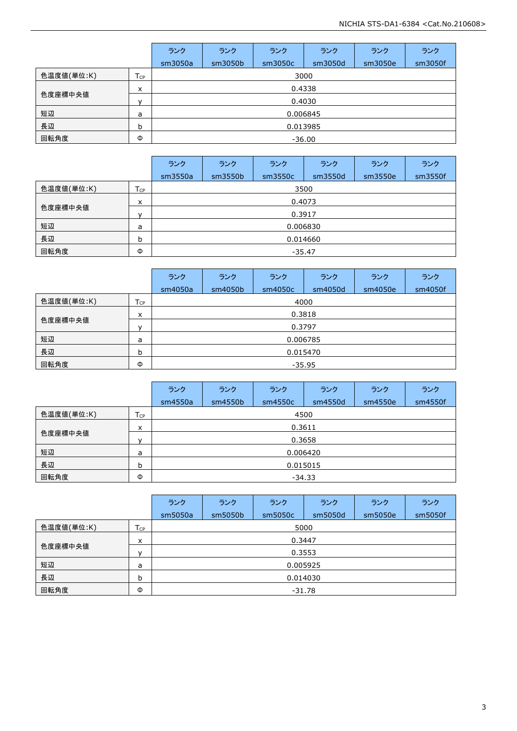|            |                 | ランク      | ランク     | ランク      | ランク     | ランク     | ランク     |  |  |  |
|------------|-----------------|----------|---------|----------|---------|---------|---------|--|--|--|
|            |                 | sm3050a  | sm3050b | sm3050c  | sm3050d | sm3050e | sm3050f |  |  |  |
| 色温度値(単位:K) | $T_{\text{CP}}$ |          | 3000    |          |         |         |         |  |  |  |
| 色度座標中央値    | $\times$        |          | 0.4338  |          |         |         |         |  |  |  |
|            | $\mathbf{v}$    | 0.4030   |         |          |         |         |         |  |  |  |
| 短辺         | а               |          |         | 0.006845 |         |         |         |  |  |  |
| 長辺         | b               | 0.013985 |         |          |         |         |         |  |  |  |
| 回転角度       | Φ               | $-36.00$ |         |          |         |         |         |  |  |  |

|            |                 | ランク      | ランク     | ランク      | ランク     | ランク     | ランク     |  |  |
|------------|-----------------|----------|---------|----------|---------|---------|---------|--|--|
|            |                 | sm3550a  | sm3550b | sm3550c  | sm3550d | sm3550e | sm3550f |  |  |
| 色温度値(単位:K) | T <sub>CP</sub> | 3500     |         |          |         |         |         |  |  |
| 色度座標中央値    | x               | 0.4073   |         |          |         |         |         |  |  |
|            |                 | 0.3917   |         |          |         |         |         |  |  |
| 短辺         | a               |          |         | 0.006830 |         |         |         |  |  |
| 長辺         | b               | 0.014660 |         |          |         |         |         |  |  |
| 回転角度       | Φ               | $-35.47$ |         |          |         |         |         |  |  |

|            |                 | ランク      | ランク      | ランク     | ランク     | ランク     | ランク     |  |  |  |
|------------|-----------------|----------|----------|---------|---------|---------|---------|--|--|--|
|            |                 | sm4050a  | sm4050b  | sm4050c | sm4050d | sm4050e | sm4050f |  |  |  |
| 色温度値(単位:K) | T <sub>CP</sub> | 4000     |          |         |         |         |         |  |  |  |
| 色度座標中央値    | x               | 0.3818   |          |         |         |         |         |  |  |  |
|            | v               | 0.3797   |          |         |         |         |         |  |  |  |
| 短辺         | a               |          | 0.006785 |         |         |         |         |  |  |  |
| 長辺         | b               | 0.015470 |          |         |         |         |         |  |  |  |
| 回転角度       | Φ               | $-35.95$ |          |         |         |         |         |  |  |  |

|            |                 | ランク      | ランク      | ランク     | ランク     | ランク     | ランク     |  |  |
|------------|-----------------|----------|----------|---------|---------|---------|---------|--|--|
|            |                 | sm4550a  | sm4550b  | sm4550c | sm4550d | sm4550e | sm4550f |  |  |
| 色温度値(単位:K) | T <sub>CP</sub> |          | 4500     |         |         |         |         |  |  |
| 色度座標中央値    | $\times$        | 0.3611   |          |         |         |         |         |  |  |
|            | $\mathbf{v}$    | 0.3658   |          |         |         |         |         |  |  |
| 短辺         | a               |          | 0.006420 |         |         |         |         |  |  |
| 長辺         | b               | 0.015015 |          |         |         |         |         |  |  |
| 回転角度       | Φ               | $-34.33$ |          |         |         |         |         |  |  |

|            |                 | ランク      | ランク      | ランク     | ランク     | ランク     | ランク     |  |  |
|------------|-----------------|----------|----------|---------|---------|---------|---------|--|--|
|            |                 | sm5050a  | sm5050b  | sm5050c | sm5050d | sm5050e | sm5050f |  |  |
| 色温度値(単位:K) | T <sub>CP</sub> | 5000     |          |         |         |         |         |  |  |
| 色度座標中央値    | X               | 0.3447   |          |         |         |         |         |  |  |
|            | $\mathbf{v}$    | 0.3553   |          |         |         |         |         |  |  |
| 短辺         | a               |          | 0.005925 |         |         |         |         |  |  |
| 長辺         | b               | 0.014030 |          |         |         |         |         |  |  |
| 回転角度       | Φ               | -31.78   |          |         |         |         |         |  |  |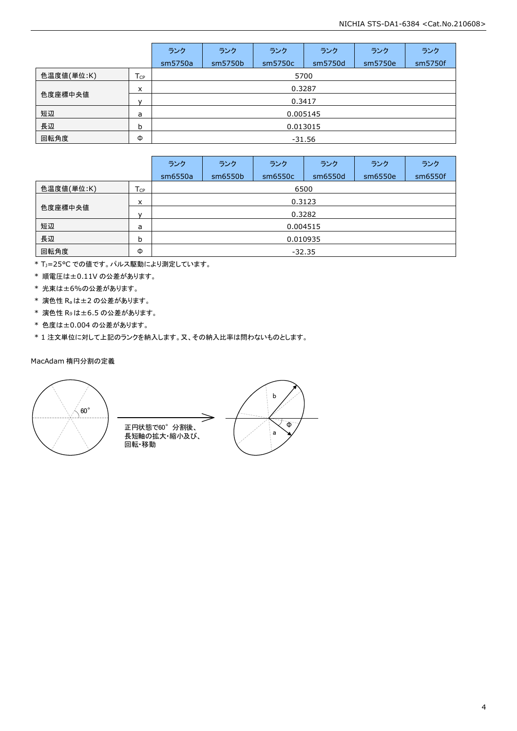|            |              | ランク      | ランク      | ランク     | ランク     | ランク     | ランク     |  |  |
|------------|--------------|----------|----------|---------|---------|---------|---------|--|--|
|            |              | sm5750a  | sm5750b  | sm5750c | sm5750d | sm5750e | sm5750f |  |  |
| 色温度値(単位:K) | Tcp          | 5700     |          |         |         |         |         |  |  |
| 色度座標中央値    | x            | 0.3287   |          |         |         |         |         |  |  |
|            | $\mathsf{v}$ | 0.3417   |          |         |         |         |         |  |  |
| 短辺         | a            |          | 0.005145 |         |         |         |         |  |  |
| 長辺         | b            | 0.013015 |          |         |         |         |         |  |  |
| 回転角度       | Φ            | $-31.56$ |          |         |         |         |         |  |  |

|            |                 | ランク      | ランク      | ランク     | ランク     | ランク     | ランク     |
|------------|-----------------|----------|----------|---------|---------|---------|---------|
|            |                 | sm6550a  | sm6550b  | sm6550c | sm6550d | sm6550e | sm6550f |
| 色温度値(単位:K) | T <sub>CP</sub> |          | 6500     |         |         |         |         |
| 色度座標中央値    | x               |          | 0.3123   |         |         |         |         |
|            | $\mathbf{v}$    | 0.3282   |          |         |         |         |         |
| 短辺         | a               |          | 0.004515 |         |         |         |         |
| 長辺         | b               | 0.010935 |          |         |         |         |         |
| 回転角度       | Φ               | $-32.35$ |          |         |         |         |         |

\* TJ=25°C での値です。パルス駆動により測定しています。

\* 順電圧は±0.11V の公差があります。

\* 光束は±6%の公差があります。

\* 演色性 Raは±2 の公差があります。

\* 演色性 R9は±6.5 の公差があります。

\* 色度は±0.004 の公差があります。

\* 1 注文単位に対して上記のランクを納入します。又、その納入比率は問わないものとします。

### MacAdam 楕円分割の定義



正円状態で60°分割後、 長短軸の拡大·縮小及び、 回転・移動

b  $\overline{\Phi}$ a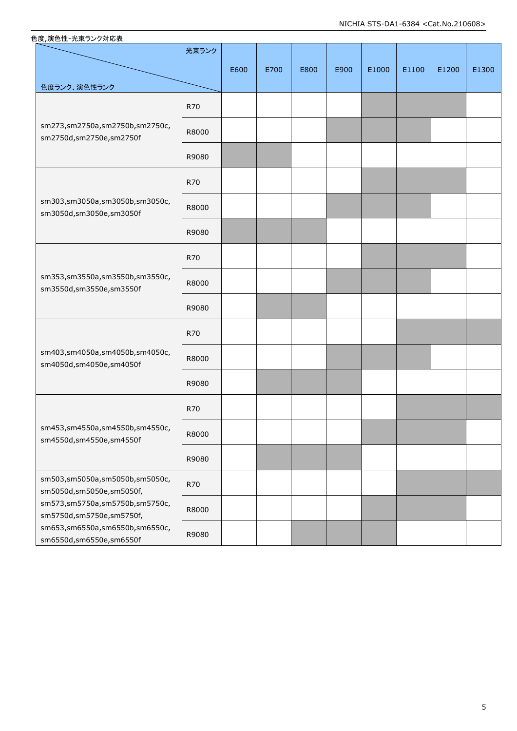| 色度ランク、演色性ランク                                               | 光束ランク      | E600 | E700 | E800 | E900 | E1000 | E1100 | E1200 | E1300 |
|------------------------------------------------------------|------------|------|------|------|------|-------|-------|-------|-------|
|                                                            | R70        |      |      |      |      |       |       |       |       |
| sm273,sm2750a,sm2750b,sm2750c,<br>sm2750d,sm2750e,sm2750f  | R8000      |      |      |      |      |       |       |       |       |
|                                                            | R9080      |      |      |      |      |       |       |       |       |
|                                                            | <b>R70</b> |      |      |      |      |       |       |       |       |
| sm303,sm3050a,sm3050b,sm3050c,<br>sm3050d,sm3050e,sm3050f  | R8000      |      |      |      |      |       |       |       |       |
|                                                            | R9080      |      |      |      |      |       |       |       |       |
|                                                            | <b>R70</b> |      |      |      |      |       |       |       |       |
| sm353,sm3550a,sm3550b,sm3550c,<br>sm3550d,sm3550e,sm3550f  | R8000      |      |      |      |      |       |       |       |       |
|                                                            | R9080      |      |      |      |      |       |       |       |       |
|                                                            | <b>R70</b> |      |      |      |      |       |       |       |       |
| sm403,sm4050a,sm4050b,sm4050c,<br>sm4050d,sm4050e,sm4050f  | R8000      |      |      |      |      |       |       |       |       |
|                                                            | R9080      |      |      |      |      |       |       |       |       |
|                                                            | <b>R70</b> |      |      |      |      |       |       |       |       |
| sm453,sm4550a,sm4550b,sm4550c,<br>sm4550d,sm4550e,sm4550f  | R8000      |      |      |      |      |       |       |       |       |
|                                                            | R9080      |      |      |      |      |       |       |       |       |
| sm503,sm5050a,sm5050b,sm5050c,<br>sm5050d,sm5050e,sm5050f, | R70        |      |      |      |      |       |       |       |       |
| sm573,sm5750a,sm5750b,sm5750c,<br>sm5750d,sm5750e,sm5750f, | R8000      |      |      |      |      |       |       |       |       |
| sm653,sm6550a,sm6550b,sm6550c,<br>sm6550d,sm6550e,sm6550f  | R9080      |      |      |      |      |       |       |       |       |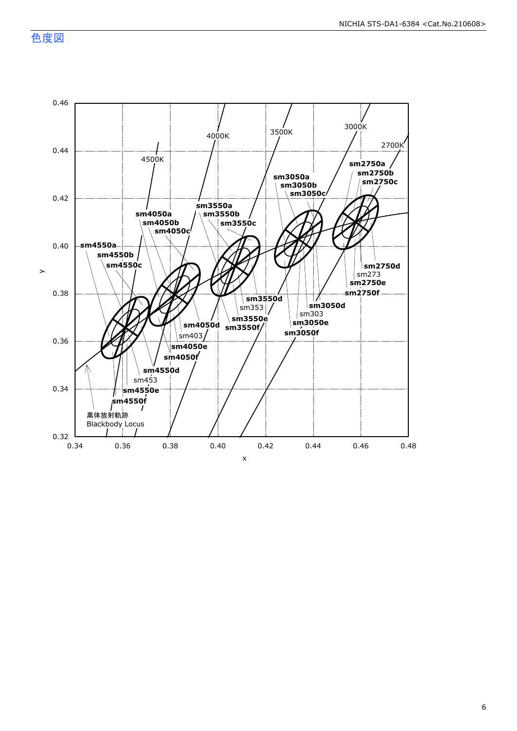色度図

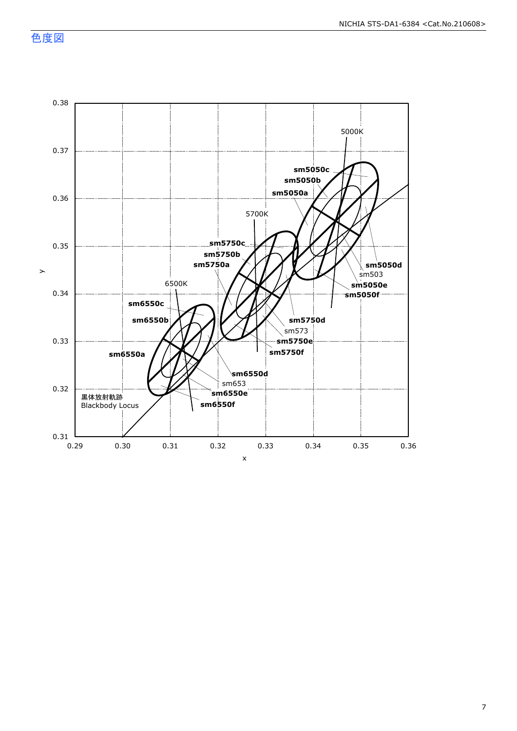色度図

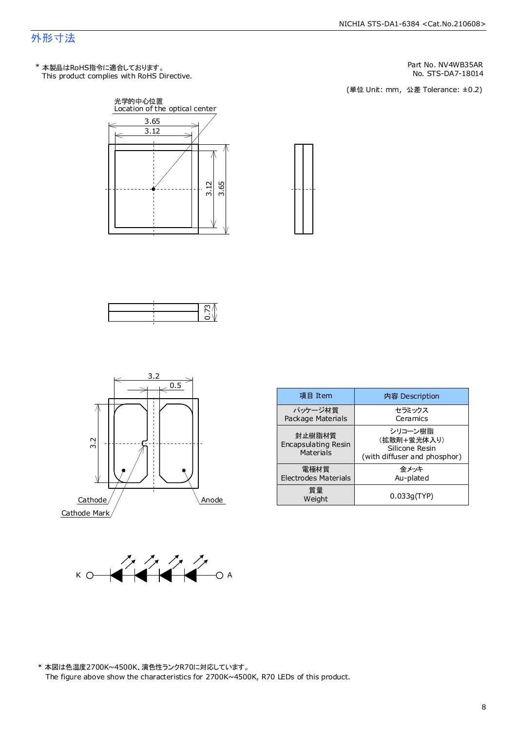## 外形寸法

This product complies with RoHS Directive. \* 本製品はRoHS指令に適合しております。

NICHIA STS-DA1-6384 <Cat.No.210608>

Part No. NV4WB35AR<br>No. STS-DA7-18014

No. STS-DA7-18014<br>(単位 Unit: mm,公差 Tolerance: ±0.2)









| 項目 Item                                           | 内容 Description                                                           |
|---------------------------------------------------|--------------------------------------------------------------------------|
| パッケージ材質<br>Package Materials                      | セラミックス<br>Ceramics                                                       |
| 封止樹脂材質<br><b>Encapsulating Resin</b><br>Materials | シリコーン樹脂<br>(拡散剤+蛍光体入り)<br>Silicone Resin<br>(with diffuser and phosphor) |
| 電極材質<br><b>Electrodes Materials</b>               | 金メッキ<br>Au-plated                                                        |
| 質量<br>Weight                                      | 0.033q(TYP)                                                              |



\* 本図は色温度2700K~4500K、演色性ランクR70に対応しています。 The figure above show the characteristics for 2700K~4500K, R70 LEDs of this product.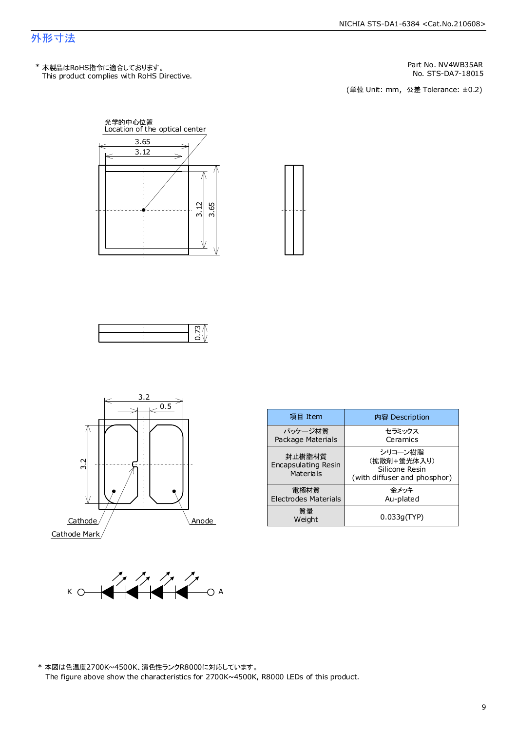## 外形寸法

This product complies with RoHS Directive. \* 本製品はRoHS指令に適合しております。

Part No. NV4WB35AR<br>No. STS-DA7-18015

No. STS-DA7-18015<br>(単位 Unit: mm,公差 Tolerance: ±0.2)









| 項目 Item                                    | 内容 Description                                                           |
|--------------------------------------------|--------------------------------------------------------------------------|
| パッケージ材質<br>Package Materials               | セラミックス<br>Ceramics                                                       |
| 封止樹脂材質<br>Encapsulating Resin<br>Materials | シリコーン樹脂<br>(拡散剤+蛍光体入り)<br>Silicone Resin<br>(with diffuser and phosphor) |
| 電極材質<br><b>Electrodes Materials</b>        | 金メッキ<br>Au-plated                                                        |
| 質量<br>Weight                               | 0.033q(TYP)                                                              |



\* 本図は色温度2700K~4500K、演色性ランクR8000に対応しています。 The figure above show the characteristics for 2700K~4500K, R8000 LEDs of this product.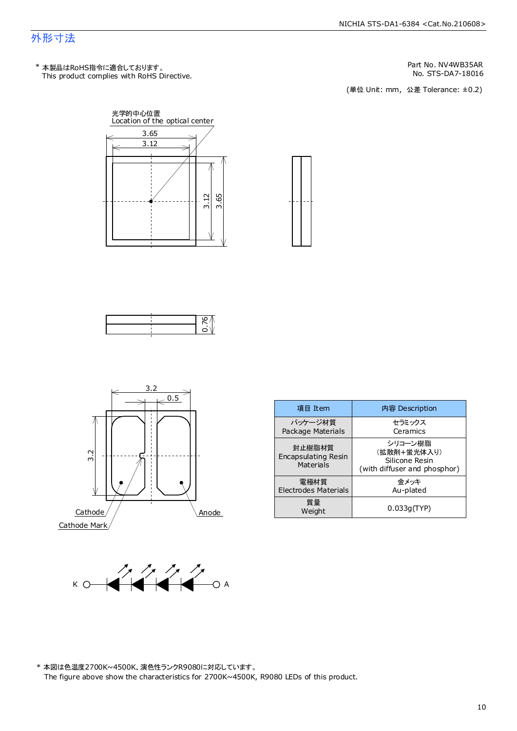## 外形寸法

This product complies with RoHS Directive. \* 本製品はRoHS指令に適合しております。

Part No. NV4WB35AR<br>No. STS-DA7-18016

No. STS-DA7-18016<br>(単位 Unit: mm,公差 Tolerance: ±0.2)









| 項目 Item                                    | 内容 Description                                                           |
|--------------------------------------------|--------------------------------------------------------------------------|
| パッケージ材質<br>Package Materials               | セラミックス<br>Ceramics                                                       |
| 封止樹脂材質<br>Encapsulating Resin<br>Materials | シリコーン樹脂<br>(拡散剤+蛍光体入り)<br>Silicone Resin<br>(with diffuser and phosphor) |
| 電極材質<br><b>Electrodes Materials</b>        | 金メッキ<br>Au-plated                                                        |
| 質量<br>Weight                               | 0.033q(TYP)                                                              |



\* 本図は色温度2700K~4500K、演色性ランクR9080に対応しています。 The figure above show the characteristics for 2700K~4500K, R9080 LEDs of this product.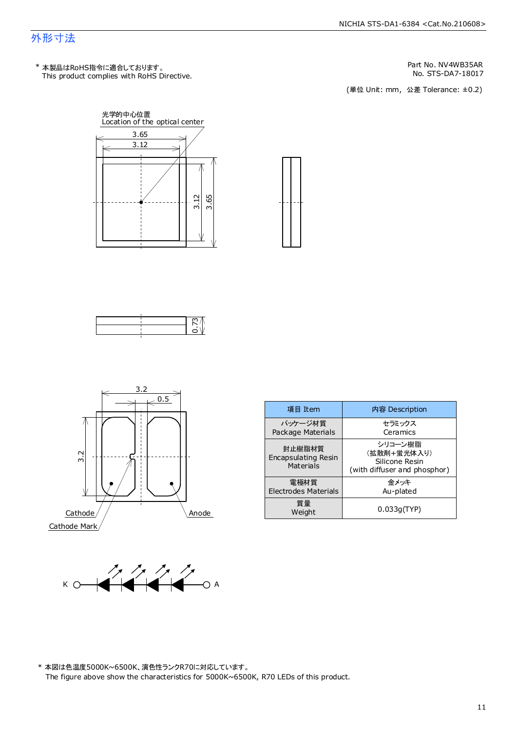## 外形寸法

This product complies with RoHS Directive. \* 本製品はRoHS指令に適合しております。

Part No. NV4WB35AR<br>No. STS-DA7-18017

No. STS-DA7-18017<br>(単位 Unit: mm,公差 Tolerance: ±0.2)









| 項目 Item                                           | 内容 Description                                                           |
|---------------------------------------------------|--------------------------------------------------------------------------|
| パッケージ材質<br>Package Materials                      | セラミックス<br>Ceramics                                                       |
| 封止樹脂材質<br><b>Encapsulating Resin</b><br>Materials | シリコーン樹脂<br>(拡散剤+蛍光体入り)<br>Silicone Resin<br>(with diffuser and phosphor) |
| 雷極材質<br>Electrodes Materials                      | 金メッキ<br>Au-plated                                                        |
| 質量<br>Weight                                      | 0.033q(TYP)                                                              |



\* 本図は色温度5000K~6500K、演色性ランクR70に対応しています。 The figure above show the characteristics for 5000K~6500K, R70 LEDs of this product.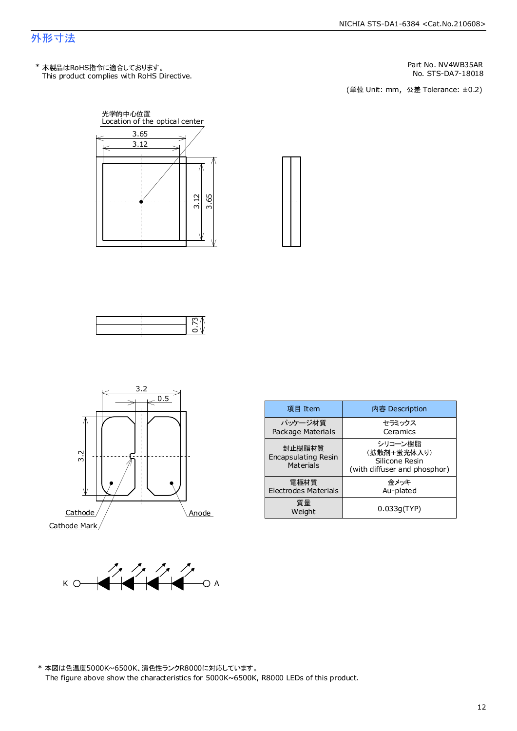## 外形寸法

This product complies with RoHS Directive. \* 本製品はRoHS指令に適合しております。

Part No. NV4WB35AR<br>No. STS-DA7-18018

No. STS-DA7-18018<br>(単位 Unit: mm,公差 Tolerance: ±0.2)









| 項目 Item                                                  | 内容 Description                                                           |
|----------------------------------------------------------|--------------------------------------------------------------------------|
| パッケージ材質<br>Package Materials                             | セラミックス<br>Ceramics                                                       |
| 封止樹脂材質<br><b>Encapsulating Resin</b><br><b>Materials</b> | シリコーン樹脂<br>(拡散剤+蛍光体入り)<br>Silicone Resin<br>(with diffuser and phosphor) |
| 雷極材質<br><b>Electrodes Materials</b>                      | 金メッキ<br>Au-plated                                                        |
| 質量<br>Weight                                             | 0.033q(TYP)                                                              |



\* 本図は色温度5000K~6500K、演色性ランクR8000に対応しています。 The figure above show the characteristics for 5000K~6500K, R8000 LEDs of this product.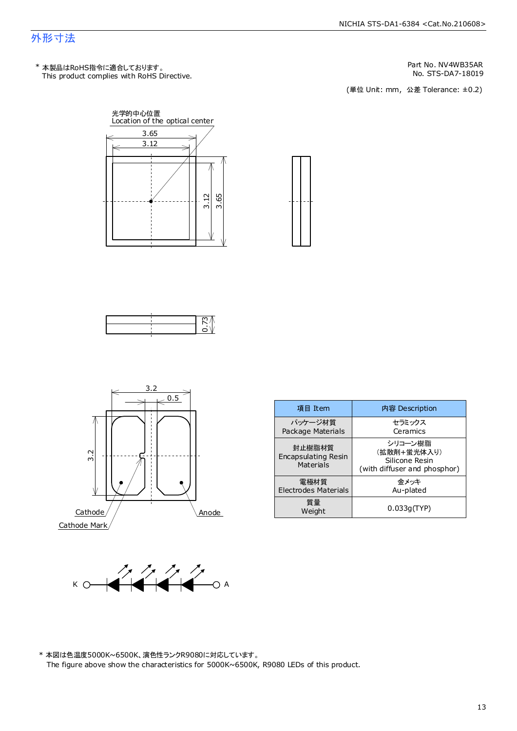### 外形寸法

This product complies with RoHS Directive. \* 本製品はRoHS指令に適合しております。

Part No. NV4WB35AR<br>No. STS-DA7-18019

No. STS-DA7-18019<br>(単位 Unit: mm,公差 Tolerance: ±0.2)









| 項目 Item                                           | 内容 Description                                                           |
|---------------------------------------------------|--------------------------------------------------------------------------|
| パッケージ材質<br>Package Materials                      | セラミックス<br>Ceramics                                                       |
| 封止樹脂材質<br><b>Encapsulating Resin</b><br>Materials | シリコーン樹脂<br>(拡散剤+蛍光体入り)<br>Silicone Resin<br>(with diffuser and phosphor) |
| 電極材質<br><b>Electrodes Materials</b>               | 金メッキ<br>Au-plated                                                        |
| 質量<br>Weight                                      | 0.033q(TYP)                                                              |



\* 本図は色温度5000K~6500K、演色性ランクR9080に対応しています。 The figure above show the characteristics for 5000K~6500K, R9080 LEDs of this product.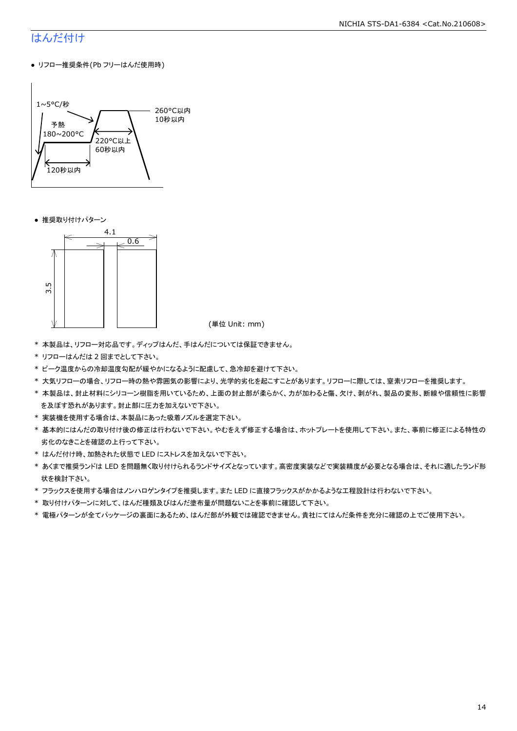## はんだ付け

● リフロー推奨条件(Pb フリーはんだ使用時)



● 推奨取り付けパターン



(単位 Unit: mm)

- \* 本製品は、リフロー対応品です。ディップはんだ、手はんだについては保証できません。
- \* リフローはんだは 2 回までとして下さい。
- \* ピーク温度からの冷却温度勾配が緩やかになるように配慮して、急冷却を避けて下さい。
- \* 大気リフローの場合、リフロー時の熱や雰囲気の影響により、光学的劣化を起こすことがあります。リフローに際しては、窒素リフローを推奨します。
- \* 本製品は、封止材料にシリコーン樹脂を用いているため、上面の封止部が柔らかく、力が加わると傷、欠け、剥がれ、製品の変形、断線や信頼性に影響 を及ぼす恐れがあります。封止部に圧力を加えないで下さい。
- \* 実装機を使用する場合は、本製品にあった吸着ノズルを選定下さい。
- \* 基本的にはんだの取り付け後の修正は行わないで下さい。やむをえず修正する場合は、ホットプレートを使用して下さい。また、事前に修正による特性の 劣化のなきことを確認の上行って下さい。
- \* はんだ付け時、加熱された状態で LED にストレスを加えないで下さい。
- \* あくまで推奨ランドは LED を問題無く取り付けられるランドサイズとなっています。高密度実装などで実装精度が必要となる場合は、それに適したランド形 状を検討下さい。
- \* フラックスを使用する場合はノンハロゲンタイプを推奨します。また LED に直接フラックスがかかるような工程設計は行わないで下さい。
- \* 取り付けパターンに対して、はんだ種類及びはんだ塗布量が問題ないことを事前に確認して下さい。
- \* 電極パターンが全てパッケージの裏面にあるため、はんだ部が外観では確認できません。貴社にてはんだ条件を充分に確認の上でご使用下さい。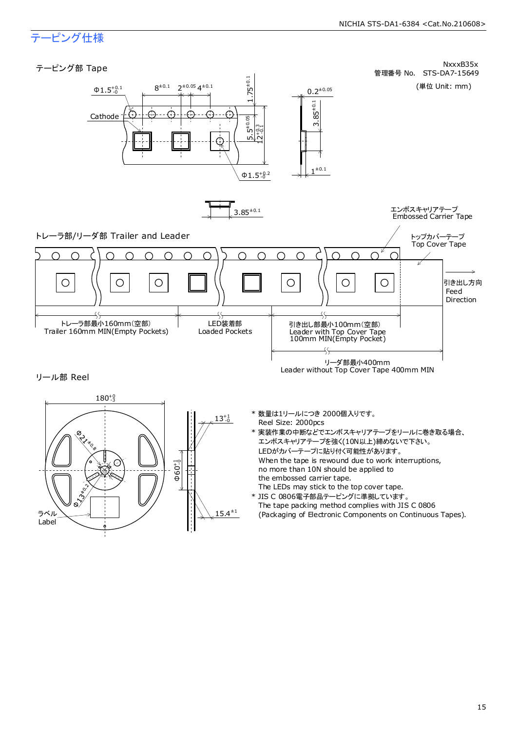## テーピング仕様

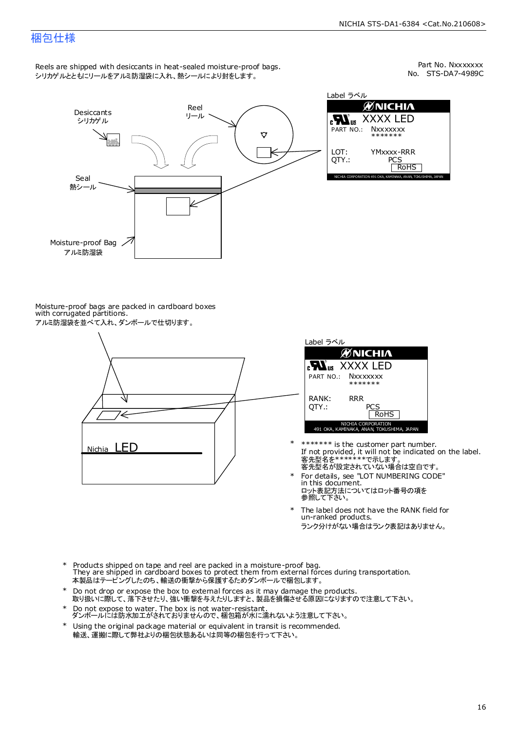## 梱包仕様

Reels are shipped with desiccants in heat-sealed moisture-proof bags. シリカゲルとともにリールをアルミ防湿袋に入れ、熱シールにより封をします。

No. STS-DA7-4989C Part No. Nxxxxxxx



Label ラベル ЙNICHIЛ XXXX LED **Nxxxxxxx** \*\*\*\*\*\*\* YMxxxx-RRR PCS<br>| RoHS NICHIA CORPORATION 491 OKA, KAMINAKA, ANAN, TOKUSHI

Moisture-proof bags are packed in cardboard boxes with corrugated partitions. アルミ防湿袋を並べて入れ、ダンボールで仕切ります。





- 客先型名が設定されていない場合は空白です。 客先型名を\*\*\*\*\*\*\*で示します。 If not provided, it will not be indicated on the label. \*\*\*\*\*\*\* is the customer part number.
- For details, see "LOT NUMBERING CODE" in this document. ロット表記方法についてはロット番号の項を<br>参照して下さい。 \*
- The label does not have the RANK field for un-ranked products. ランク分けがない場合はランク表記はありません。 \*
- Products shipped on tape and reel are packed in a moisture-proof bag. They are shipped in cardboard boxes to protect them from external forces during transportation. 本製品はテーピングしたのち、輸送の衝撃から保護するためダンボールで梱包します。 \*
- Do not drop or expose the box to external forces as it may damage the products. 取り扱いに際して、落下させたり、強い衝撃を与えたりしますと、製品を損傷させる原因になりますので注意して下さい。 \*
- Do not expose to water. The box is not water-resistant. ダンボールには防水加工がされておりませんので、梱包箱が水に濡れないよう注意して下さい。 \*
- \* Using the original package material or equivalent in transit is recommended. 輸送、運搬に際して弊社よりの梱包状態あるいは同等の梱包を行って下さい。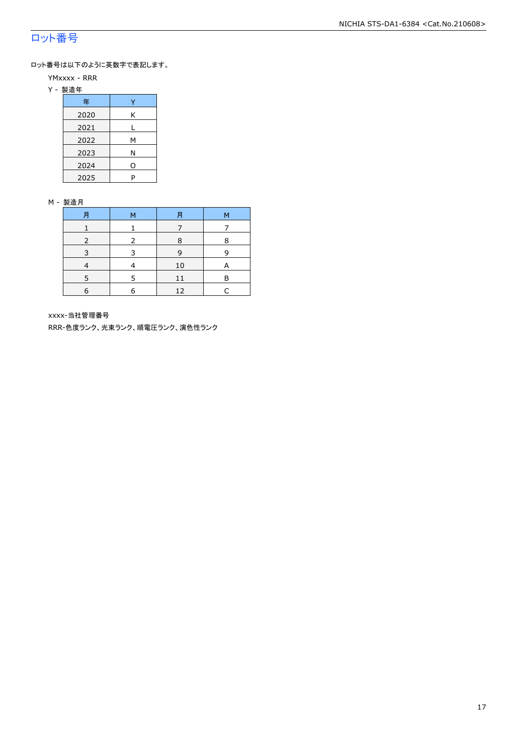## ロット番号

ロット番号は以下のように英数字で表記します。

- YMxxxx RRR
- Y 製造年

| 年    |   |
|------|---|
| 2020 | Κ |
| 2021 |   |
| 2022 | м |
| 2023 | Ν |
| 2024 | O |
| 2025 | P |

#### M - 製造月

| 月 | M | 月  | М |
|---|---|----|---|
|   |   |    |   |
|   |   | 8  | 8 |
|   |   | 9  | q |
|   |   | 10 | А |
|   |   | 11 | в |
| 6 | 6 | 12 |   |

xxxx-当社管理番号

RRR-色度ランク、光束ランク、順電圧ランク、演色性ランク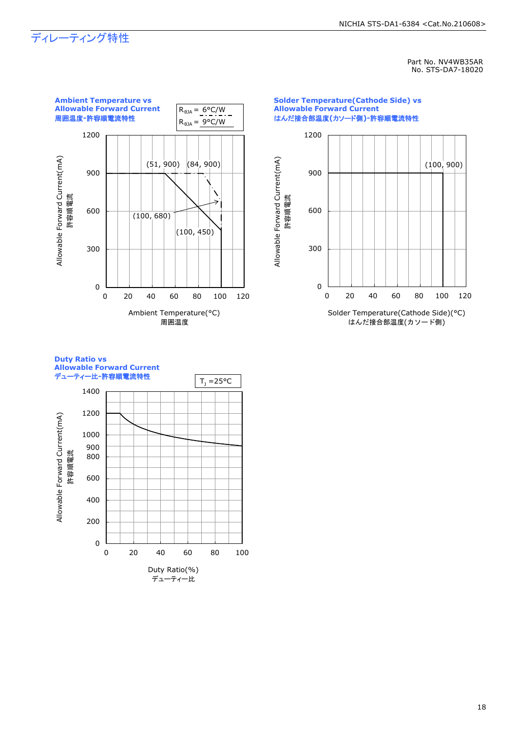## ディレーティング特性

Part No. NV4WB35AR No. STS-DA7-18020



### **Duty Ratio vs Allowable Forward Current**

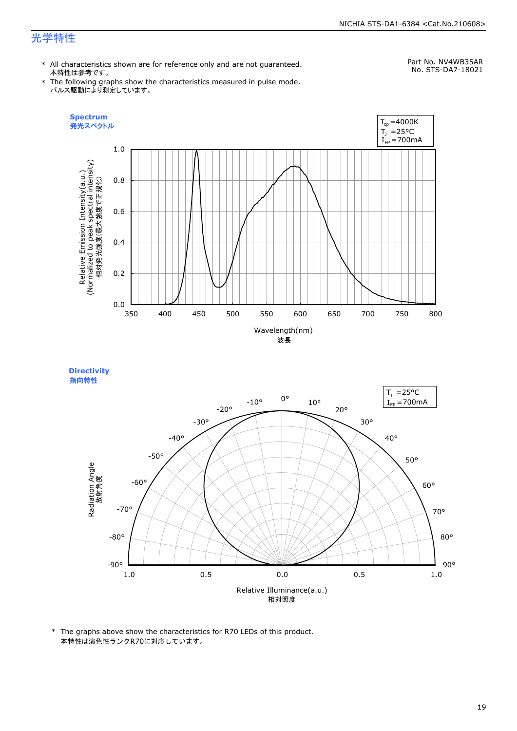## 光学特性

\* All characteristics shown are for reference only and are not guaranteed. 本特性は参考です。

## Part No. NV4WB35AR

\* The following graphs show the characteristics measured in pulse mode. パルス駆動により測定しています。

No. STS-DA7-18021





\* The graphs above show the characteristics for R70 LEDs of this product. 本特性は演色性ランクR70に対応しています。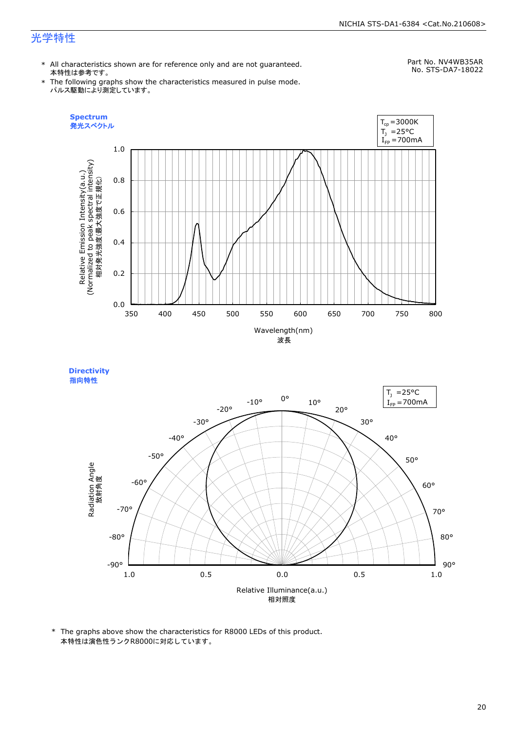## 光学特性

\* All characteristics shown are for reference only and are not guaranteed. 本特性は参考です。

## Part No. NV4WB35AR

\* The following graphs show the characteristics measured in pulse mode. パルス駆動により測定しています。







<sup>\*</sup> The graphs above show the characteristics for R8000 LEDs of this product. 本特性は演色性ランクR8000に対応しています。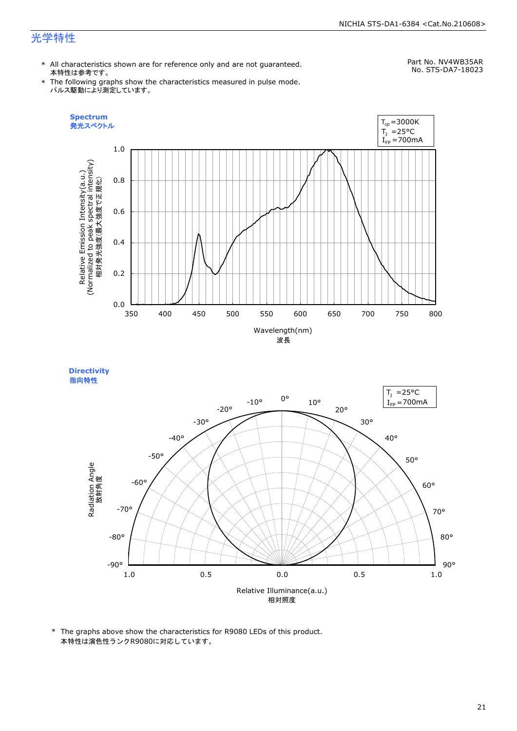## 光学特性

\* All characteristics shown are for reference only and are not guaranteed. 本特性は参考です。

## Part No. NV4WB35AR

\* The following graphs show the characteristics measured in pulse mode. パルス駆動により測定しています。







\* The graphs above show the characteristics for R9080 LEDs of this product. 本特性は演色性ランクR9080に対応しています。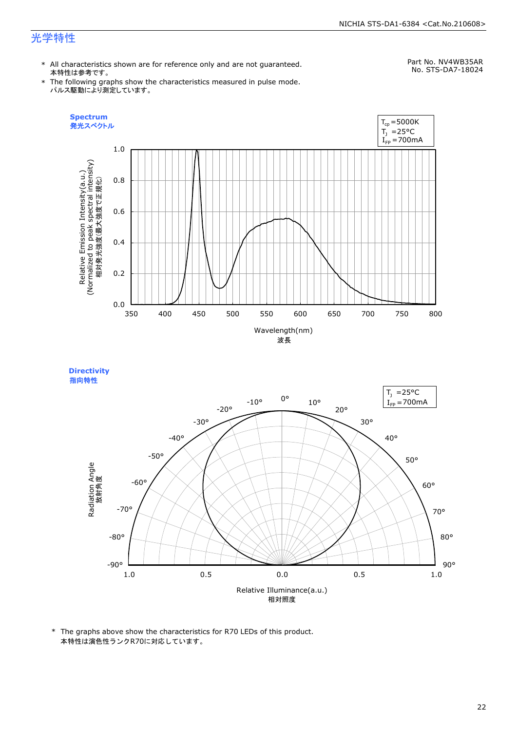## 光学特性

\* All characteristics shown are for reference only and are not guaranteed. 本特性は参考です。

## Part No. NV4WB35AR

\* The following graphs show the characteristics measured in pulse mode. パルス駆動により測定しています。

No. STS-DA7-18024





<sup>\*</sup> The graphs above show the characteristics for R70 LEDs of this product. 本特性は演色性ランクR70に対応しています。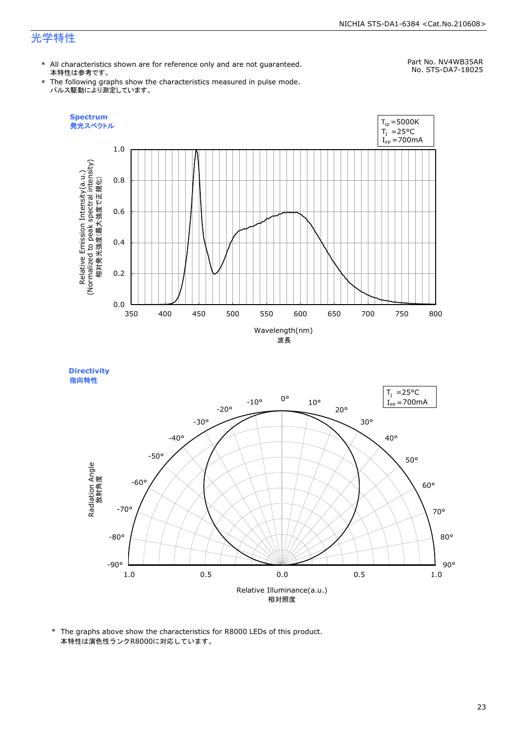## 光学特性

\* All characteristics shown are for reference only and are not guaranteed. 本特性は参考です。

## Part No. NV4WB35AR

\* The following graphs show the characteristics measured in pulse mode. パルス駆動により測定しています。

No. STS-DA7-18025





\* The graphs above show the characteristics for R8000 LEDs of this product. 本特性は演色性ランクR8000に対応しています。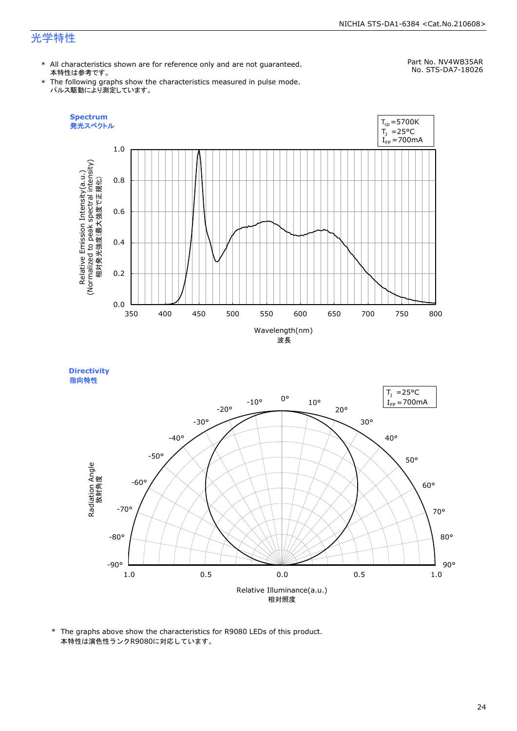## 光学特性

\* All characteristics shown are for reference only and are not guaranteed. 本特性は参考です。

## Part No. NV4WB35AR

\* The following graphs show the characteristics measured in pulse mode. パルス駆動により測定しています。

No. STS-DA7-18026





<sup>\*</sup> The graphs above show the characteristics for R9080 LEDs of this product. 本特性は演色性ランクR9080に対応しています。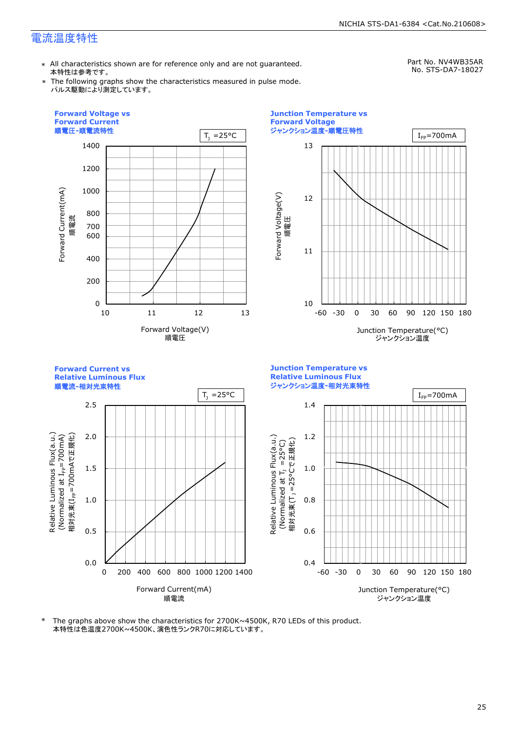\* All characteristics shown are for reference only and are not guaranteed. 本特性は参考です。

Part No. NV4WB35AR No. STS-DA7-18027

\* The following graphs show the characteristics measured in pulse mode. パルス駆動により測定しています。



\* The graphs above show the characteristics for 2700K~4500K, R70 LEDs of this product. 本特性は色温度2700K~4500K、演色性ランクR70に対応しています。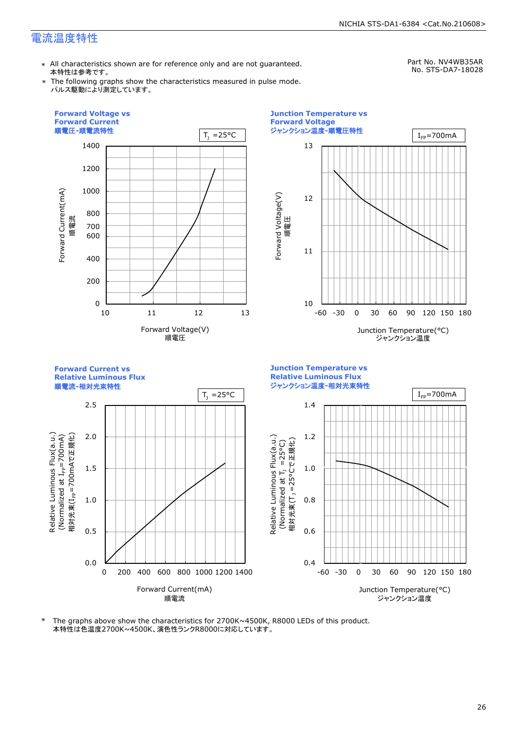\* All characteristics shown are for reference only and are not guaranteed. 本特性は参考です。

Part No. NV4WB35AR No. STS-DA7-18028

\* The following graphs show the characteristics measured in pulse mode. パルス駆動により測定しています。



\* The graphs above show the characteristics for 2700K~4500K, R8000 LEDs of this product. 本特性は色温度2700K~4500K、演色性ランクR8000に対応しています。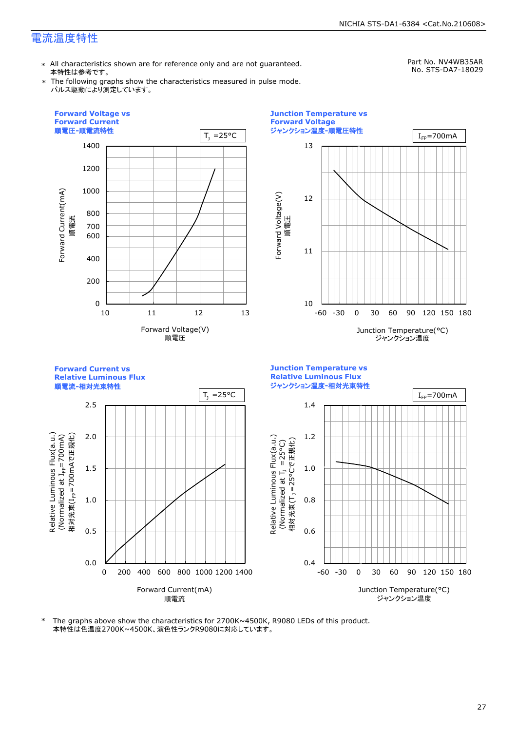\* All characteristics shown are for reference only and are not guaranteed. 本特性は参考です。

Part No. NV4WB35AR No. STS-DA7-18029

\* The following graphs show the characteristics measured in pulse mode. パルス駆動により測定しています。



\* The graphs above show the characteristics for 2700K~4500K, R9080 LEDs of this product. 本特性は色温度2700K~4500K、演色性ランクR9080に対応しています。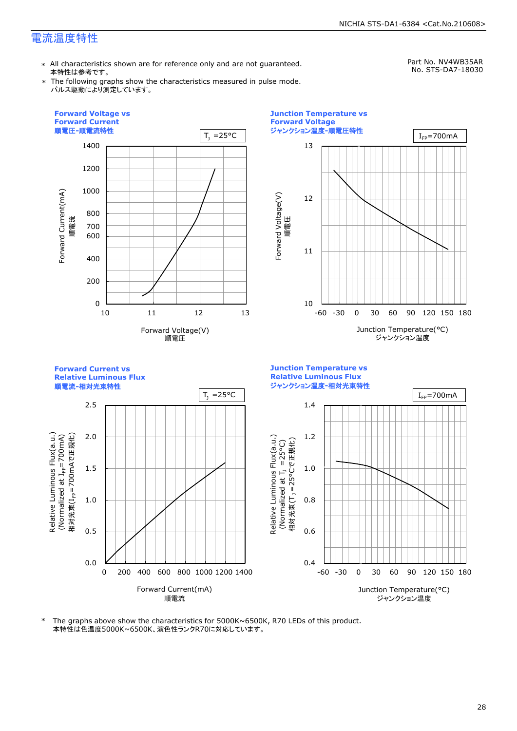\* All characteristics shown are for reference only and are not guaranteed. 本特性は参考です。

Part No. NV4WB35AR No. STS-DA7-18030

\* The following graphs show the characteristics measured in pulse mode. パルス駆動により測定しています。



\* The graphs above show the characteristics for 5000K~6500K, R70 LEDs of this product. 本特性は色温度5000K~6500K、演色性ランクR70に対応しています。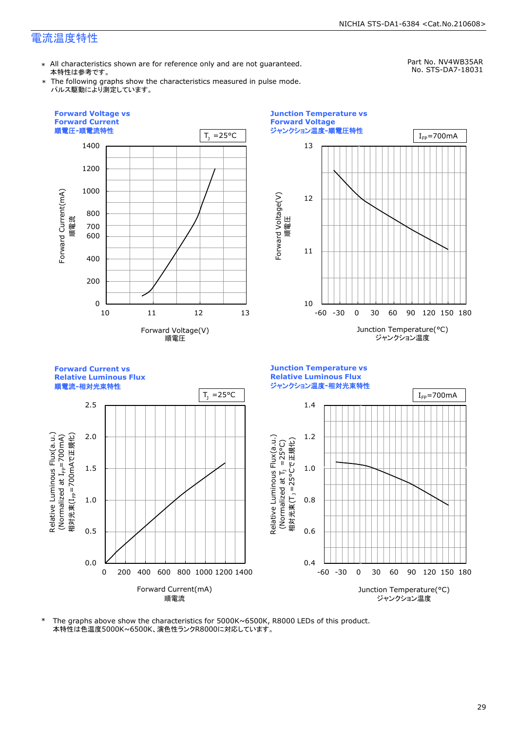\* All characteristics shown are for reference only and are not guaranteed. 本特性は参考です。

Part No. NV4WB35AR No. STS-DA7-18031

\* The following graphs show the characteristics measured in pulse mode. パルス駆動により測定しています。



\* The graphs above show the characteristics for 5000K~6500K, R8000 LEDs of this product. 本特性は色温度5000K~6500K、演色性ランクR8000に対応しています。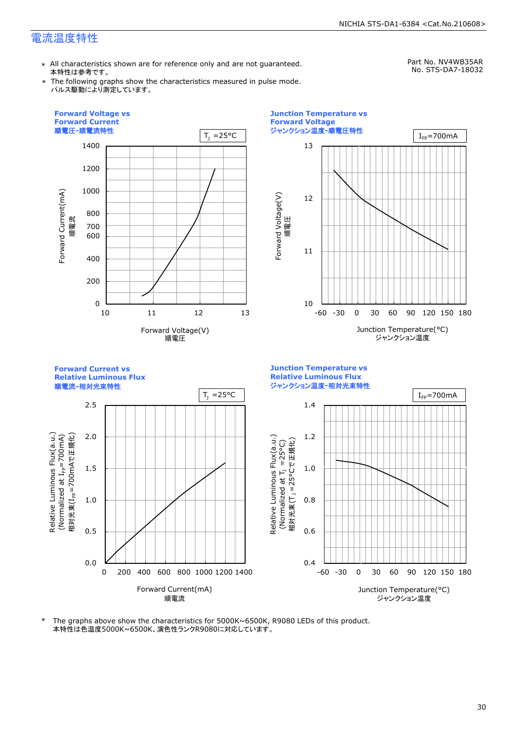\* All characteristics shown are for reference only and are not guaranteed. 本特性は参考です。

Part No. NV4WB35AR No. STS-DA7-18032

\* The following graphs show the characteristics measured in pulse mode. パルス駆動により測定しています。



\* The graphs above show the characteristics for 5000K~6500K, R9080 LEDs of this product. 本特性は色温度5000K~6500K、演色性ランクR9080に対応しています。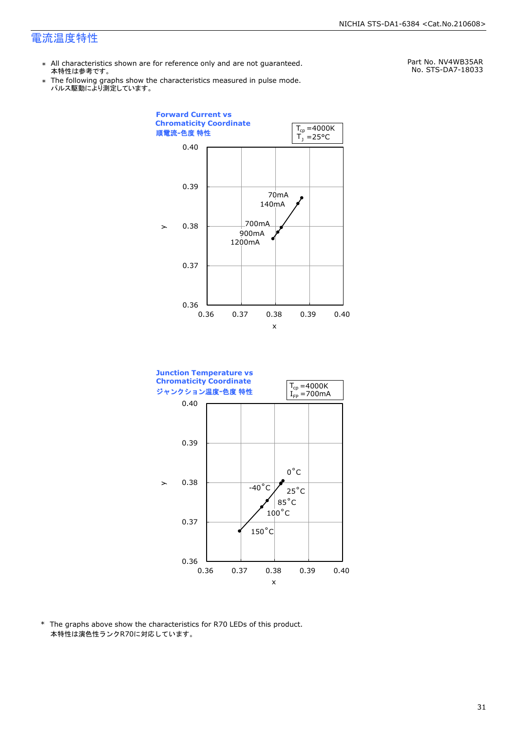- \* All characteristics shown are for reference only and are not guaranteed. 本特性は参考です。
- \* Ine following graphs show th<br>、パルス駆動により測定しています。 The following graphs show the characteristics measured in pulse mode.

Part No. NV4WB35AR No. STS-DA7-18033





\* The graphs above show the characteristics for R70 LEDs of this product. 本特性は演色性ランクR70に対応しています。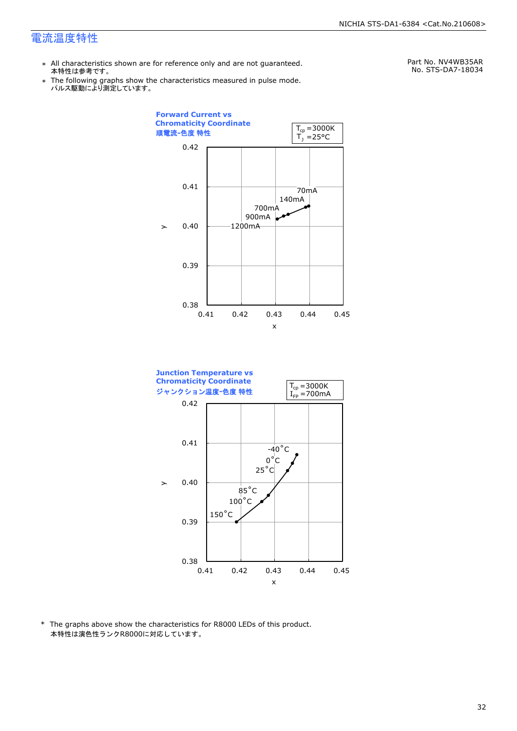- \* All characteristics shown are for reference only and are not guaranteed. 本特性は参考です。
- \* Ine following graphs show th<br>、パルス駆動により測定しています。 The following graphs show the characteristics measured in pulse mode.

Part No. NV4WB35AR No. STS-DA7-18034





\* The graphs above show the characteristics for R8000 LEDs of this product. 本特性は演色性ランクR8000に対応しています。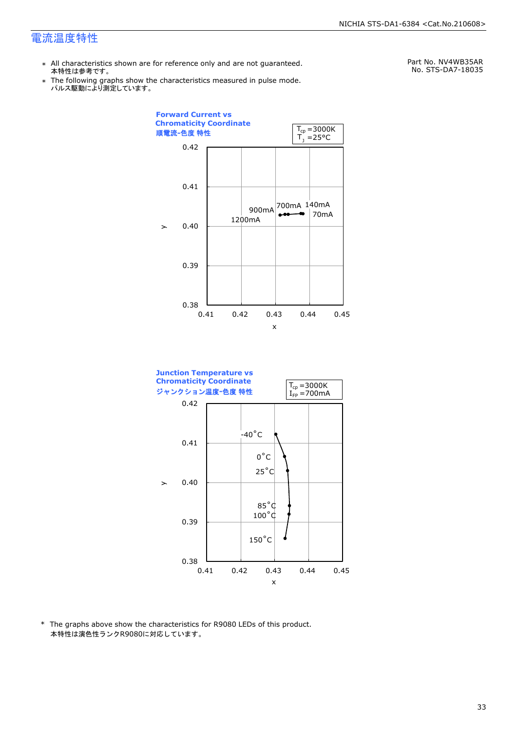- \* All characteristics shown are for reference only and are not guaranteed. 本特性は参考です。
- \* Ine following graphs show th<br>、パルス駆動により測定しています。 The following graphs show the characteristics measured in pulse mode.

Part No. NV4WB35AR No. STS-DA7-18035





\* The graphs above show the characteristics for R9080 LEDs of this product. 本特性は演色性ランクR9080に対応しています。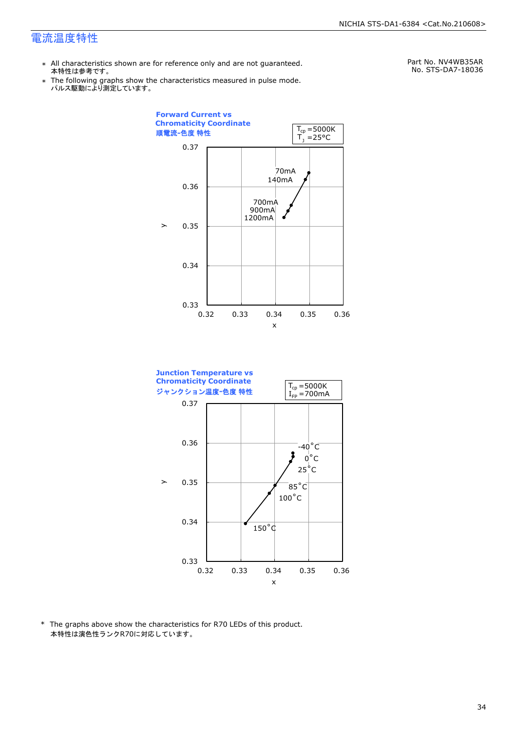- \* All characteristics shown are for reference only and are not guaranteed. 本特性は参考です。
- \* Ine following graphs show th<br>、パルス駆動により測定しています。 The following graphs show the characteristics measured in pulse mode.

Part No. NV4WB35AR No. STS-DA7-18036





\* The graphs above show the characteristics for R70 LEDs of this product. 本特性は演色性ランクR70に対応しています。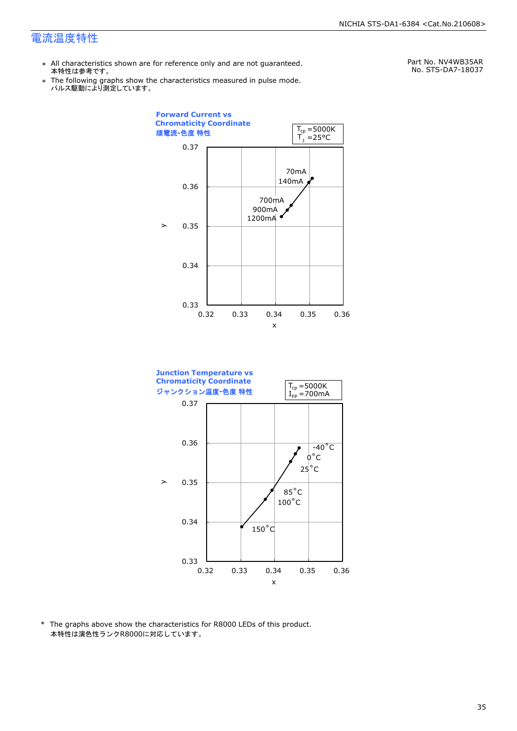- \* All characteristics shown are for reference only and are not guaranteed. 本特性は参考です。
- \* Ine following graphs show th<br>、パルス駆動により測定しています。 The following graphs show the characteristics measured in pulse mode.

Part No. NV4WB35AR No. STS-DA7-18037





\* The graphs above show the characteristics for R8000 LEDs of this product. 本特性は演色性ランクR8000に対応しています。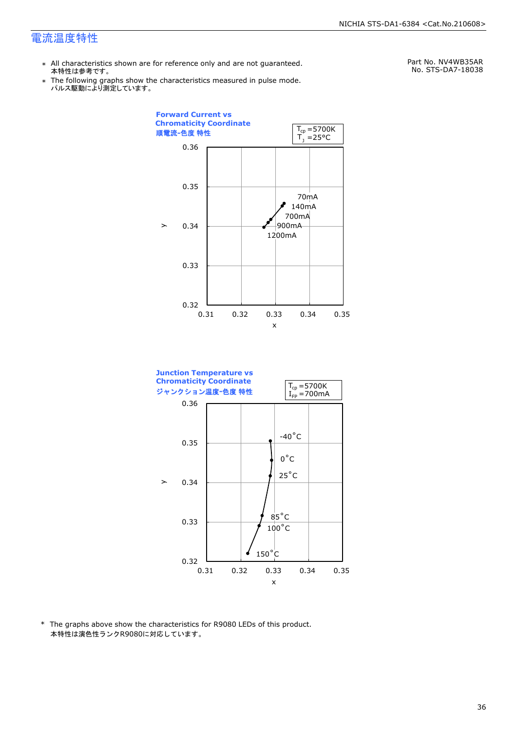- \* All characteristics shown are for reference only and are not guaranteed. 本特性は参考です。
- \* Ine following graphs show th<br>、パルス駆動により測定しています。 The following graphs show the characteristics measured in pulse mode.

Part No. NV4WB35AR No. STS-DA7-18038





\* The graphs above show the characteristics for R9080 LEDs of this product. 本特性は演色性ランクR9080に対応しています。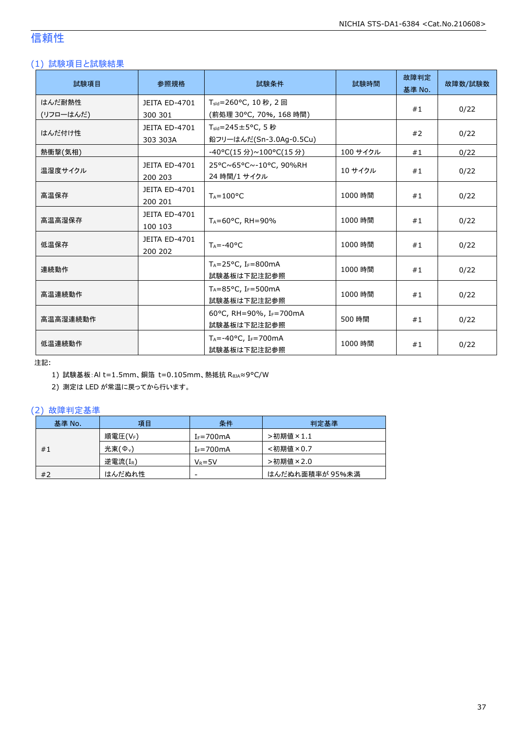## 信頼性

### (1) 試験項目と試験結果

| 試験項目      | 参照規格                            | 試験条件                                                 | 試験時間     | 故障判定<br>基準 No. | 故障数/試験数 |
|-----------|---------------------------------|------------------------------------------------------|----------|----------------|---------|
| はんだ耐熱性    | JEITA ED-4701                   | T <sub>sld</sub> =260°C, 10秒, 2回                     |          |                |         |
| (リフローはんだ) | 300 301                         | (前処理 30°C, 70%, 168 時間)                              |          | #1             | 0/22    |
| はんだ付け性    | <b>JEITA ED-4701</b>            | $T_{\text{std}} = 245 \pm 5^{\circ}$ C, 5秒           |          |                |         |
|           | 303 303A                        | 鉛フリーはんだ(Sn-3.0Ag-0.5Cu)                              |          | #2             | 0/22    |
| 熱衝撃(気相)   |                                 | -40°C(15 分)~100°C(15 分)                              | 100 サイクル | #1             | 0/22    |
| 温湿度サイクル   | <b>JEITA ED-4701</b><br>200 203 | 25°C~65°C~-10°C, 90%RH<br>24 時間/1 サイクル               | 10 サイクル  | #1             | 0/22    |
| 高温保存      | JEITA ED-4701<br>200 201        | $T_A = 100^{\circ}C$                                 | 1000 時間  | #1             | 0/22    |
| 高温高湿保存    | <b>JEITA ED-4701</b><br>100 103 | TA=60°C, RH=90%                                      | 1000 時間  | #1             | 0/22    |
| 低温保存      | JEITA ED-4701<br>200 202        | $T_A = -40$ °C                                       | 1000 時間  | #1             | 0/22    |
| 連続動作      |                                 | $T_A = 25$ °C, I <sub>F</sub> =800mA<br>試験基板は下記注記参照  | 1000 時間  | #1             | 0/22    |
| 高温連続動作    |                                 | $T_A = 85$ °C, I <sub>F</sub> =500mA<br>試験基板は下記注記参照  | 1000 時間  | #1             | 0/22    |
| 高温高湿連続動作  |                                 | 60°C, RH=90%, IF=700mA<br>試験基板は下記注記参照                | 500 時間   | #1             | 0/22    |
| 低温連続動作    |                                 | $T_A = -40$ °C, I <sub>F</sub> =700mA<br>試験基板は下記注記参照 | 1000 時間  | #1             | 0/22    |

注記:

1) 試験基板:Al t=1.5mm、銅箔 t=0.105mm、熱抵抗 RθJA≈9°C/W

2) 測定は LED が常温に戻ってから行います。

### (2) 故障判定基準

| 基準 No. | 項目                  | 条件             | 判定基準            |
|--------|---------------------|----------------|-----------------|
|        | 順電圧(VF)             | $I_F = 700$ mA | >初期値×1.1        |
| #1     | 光束(Φ <sub>v</sub> ) | $I_F = 700$ mA | <初期値×0.7        |
|        | 逆電流(IR)             | $V_R = 5V$     | >初期値×2.0        |
| #2     | はんだぬれ性              | -              | はんだぬれ面積率が 95%未満 |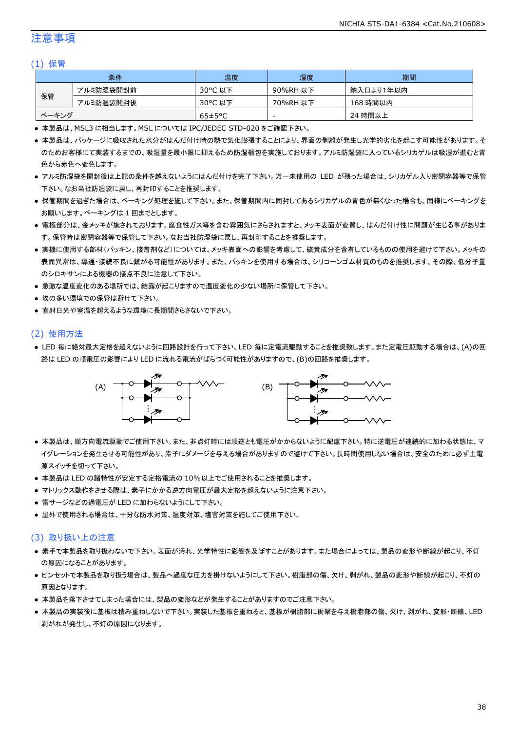### 注意事項

### (1) 保管

| 条件    |           | 温度                   | 湿度       | 期間        |
|-------|-----------|----------------------|----------|-----------|
| 保管    | アルミ防湿袋開封前 | 30°C 以下              | 90%RH 以下 | 納入日より1年以内 |
|       | アルミ防湿袋開封後 | 30°C 以下              | 70%RH 以下 | 168 時間以内  |
| ベーキング |           | $65 \pm 5^{\circ}$ C | -        | 24 時間以上   |

● 本製品は、MSL3 に相当します。MSL については IPC/JEDEC STD-020 をご確認下さい。

- 本製品は、パッケージに吸収された水分がはんだ付け時の熱で気化膨張することにより、界面の剥離が発生し光学的劣化を起こす可能性があります。そ のためお客様にて実装するまでの、吸湿量を最小限に抑えるため防湿梱包を実施しております。アルミ防湿袋に入っているシリカゲルは吸湿が進むと青 色から赤色へ変色します。
- アルミ防湿袋を開封後は上記の条件を越えないようにはんだ付けを完了下さい。万一未使用の LED が残った場合は、シリカゲル入り密閉容器等で保管 下さい。なお当社防湿袋に戻し、再封印することを推奨します。
- 保管期間を過ぎた場合は、ベーキング処理を施して下さい。また、保管期間内に同封してあるシリカゲルの青色が無くなった場合も、同様にベーキングを お願いします。ベーキングは 1 回までとします。
- 電極部分は、金メッキが施されております。腐食性ガス等を含む雰囲気にさらされますと、メッキ表面が変質し、はんだ付け性に問題が生じる事がありま す。保管時は密閉容器等で保管して下さい。なお当社防湿袋に戻し、再封印することを推奨します。
- 実機に使用する部材(パッキン、接着剤など)については、メッキ表面への影響を考慮して、硫黄成分を含有しているものの使用を避けて下さい。メッキの 表面異常は、導通・接続不良に繋がる可能性があります。また、パッキンを使用する場合は、シリコーンゴム材質のものを推奨します。その際、低分子量 のシロキサンによる機器の接点不良に注意して下さい。
- 急激な温度変化のある場所では、結露が起こりますので温度変化の少ない場所に保管して下さい。
- 埃の多い環境での保管は避けて下さい。
- 直射日光や室温を超えるような環境に長期間さらさないで下さい。

### (2) 使用方法

● LED 毎に絶対最大定格を超えないように回路設計を行って下さい。LED 毎に定電流駆動することを推奨致します。また定電圧駆動する場合は、(A)の回 路は LED の順電圧の影響により LED に流れる電流がばらつく可能性がありますので、(B)の回路を推奨します。



- 本製品は、順方向電流駆動でご使用下さい。また、非点灯時には順逆とも電圧がかからないように配慮下さい。特に逆電圧が連続的に加わる状態は、マ イグレーションを発生させる可能性があり、素子にダメージを与える場合がありますので避けて下さい。長時間使用しない場合は、安全のために必ず主電 源スイッチを切って下さい。
- 本製品は LED の諸特性が安定する定格電流の 10%以上でご使用されることを推奨します。
- マトリックス動作をさせる際は、素子にかかる逆方向電圧が最大定格を超えないように注意下さい。
- 雷サージなどの過電圧が LED に加わらないようにして下さい。
- 屋外で使用される場合は、十分な防水対策、湿度対策、塩害対策を施してご使用下さい。

### (3) 取り扱い上の注意

- 素手で本製品を取り扱わないで下さい。表面が汚れ、光学特性に影響を及ぼすことがあります。また場合によっては、製品の変形や断線が起こり、不灯 の原因になることがあります。
- ピンセットで本製品を取り扱う場合は、製品へ過度な圧力を掛けないようにして下さい。樹脂部の傷、欠け、剥がれ、製品の変形や断線が起こり、不灯の 原因となります。
- 本製品を落下させてしまった場合には、製品の変形などが発生することがありますのでご注意下さい。
- 本製品の実装後に基板は積み重ねしないで下さい。実装した基板を重ねると、基板が樹脂部に衝撃を与え樹脂部の傷、欠け、剥がれ、変形・断線、LED 剥がれが発生し、不灯の原因になります。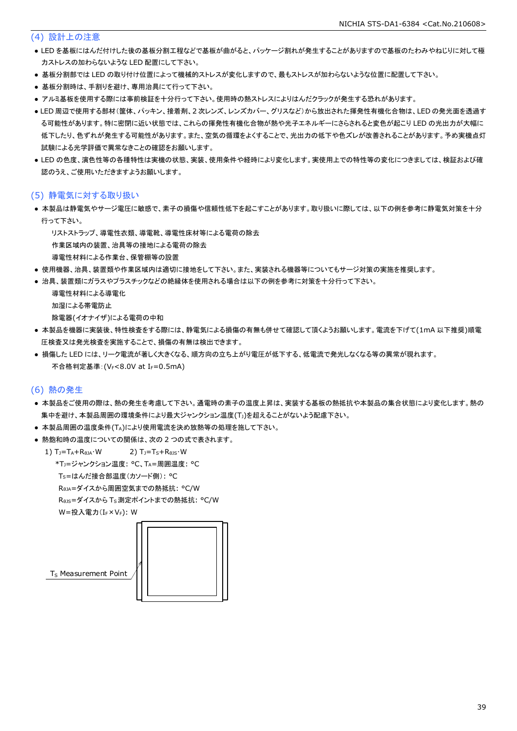### (4) 設計上の注意

- LED を基板にはんだ付けした後の基板分割工程などで基板が曲がると、パッケージ割れが発生することがありますので基板のたわみやねじりに対して極 力ストレスの加わらないような LED 配置にして下さい。
- 基板分割部では LED の取り付け位置によって機械的ストレスが変化しますので、最もストレスが加わらないような位置に配置して下さい。
- 基板分割時は、手割りを避け、専用治具にて行って下さい。
- アルミ基板を使用する際には事前検証を十分行って下さい。使用時の熱ストレスによりはんだクラックが発生する恐れがあります。
- LED 周辺で使用する部材(筐体、パッキン、接着剤、2 次レンズ、レンズカバー、グリスなど)から放出された揮発性有機化合物は、LED の発光面を透過す る可能性があります。特に密閉に近い状態では、これらの揮発性有機化合物が熱や光子エネルギーにさらされると変色が起こり LED の光出力が大幅に 低下したり、色ずれが発生する可能性があります。また、空気の循環をよくすることで、光出力の低下や色ズレが改善されることがあります。予め実機点灯 試験による光学評価で異常なきことの確認をお願いします。
- LED の色度、演色性等の各種特性は実機の状態、実装、使用条件や経時により変化します。実使用上での特性等の変化につきましては、検証および確 認のうえ、ご使用いただきますようお願いします。

### (5) 静電気に対する取り扱い

● 本製品は静電気やサージ電圧に敏感で、素子の損傷や信頼性低下を起こすことがあります。取り扱いに際しては、以下の例を参考に静電気対策を十分 行って下さい。

リストストラップ、導電性衣類、導電靴、導電性床材等による電荷の除去

作業区域内の装置、治具等の接地による電荷の除去

導電性材料による作業台、保管棚等の設置

- 使用機器、治具、装置類や作業区域内は適切に接地をして下さい。また、実装される機器等についてもサージ対策の実施を推奨します。
- 治具、装置類にガラスやプラスチックなどの絶縁体を使用される場合は以下の例を参考に対策を十分行って下さい。

```
 導電性材料による導電化
加湿による帯電防止
除電器(イオナイザ)による電荷の中和
```
- 本製品を機器に実装後、特性検査をする際には、静電気による損傷の有無も併せて確認して頂くようお願いします。電流を下げて(1mA 以下推奨)順電 圧検査又は発光検査を実施することで、損傷の有無は検出できます。
- 損傷した LED には、リーク電流が著しく大きくなる、順方向の立ち上がり電圧が低下する、低電流で発光しなくなる等の異常が現れます。 不合格判定基準: (VF<8.0V at IF=0.5mA)

### (6) 熱の発生

- 本製品をご使用の際は、熱の発生を考慮して下さい。通電時の素子の温度上昇は、実装する基板の熱抵抗や本製品の集合状態により変化します。熱の 集中を避け、本製品周囲の環境条件により最大ジャンクション温度(T」)を超えることがないよう配慮下さい。
- 本製品周囲の温度条件(TA)により使用電流を決め放熱等の処理を施して下さい。
- 熱飽和時の温度についての関係は、次の2つの式で表されます。

1)  $T_J = T_A + R_{\theta JA} \cdot W$  2)  $T_J = T_S + R_{\theta JS} \cdot W$  \*TJ=ジャンクション温度: °C、TA=周囲温度: °C TS=はんだ接合部温度(カソード側): °C

RθJA=ダイスから周囲空気までの熱抵抗: °C/W

RθJS=ダイスから TS測定ポイントまでの熱抵抗: °C/W

W=投入電力(I<sub>F</sub>×V<sub>F</sub>): W



T<sub>S</sub> Measurement Point